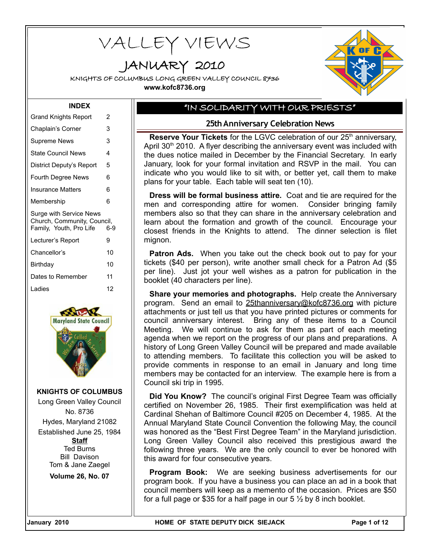VALLEY VIEWS

JANUARY 2010

KNIGHTS OF COLUMBUS LONG GREEN VALLEY COUNCIL 8736 **www.kofc8736.org**



#### **INDEX**

| <b>Grand Knights Report</b>                                                       | 2   |
|-----------------------------------------------------------------------------------|-----|
| Chaplain's Corner                                                                 | 3   |
| <b>Supreme News</b>                                                               | 3   |
| <b>State Council News</b>                                                         | 4   |
| District Deputy's Report                                                          | 5   |
| Fourth Degree News                                                                | 6   |
| Insurance Matters                                                                 | 6   |
| Membership                                                                        | 6   |
|                                                                                   |     |
| Surge with Service News<br>Church, Community, Council,<br>Family, Youth, Pro Life | 6-9 |
| Lecturer's Report                                                                 | 9   |
| Chancellor's                                                                      | 10  |
| Birthday                                                                          | 10  |
| Dates to Remember                                                                 | 11  |
| I adies                                                                           | 12  |



**KNIGHTS OF COLUMBUS** Long Green Valley Council No. 8736 Hydes, Maryland 21082 Established June 25, 1984 **Staff** Ted Burns Bill Davison Tom & Jane Zaegel **Volume 26, No. 07**

### "IN SOLIDARITY WITH OUR PRIESTS"

### **25th Anniversary Celebration News**

**Reserve Your Tickets** for the LGVC celebration of our 25<sup>th</sup> anniversary, April  $30<sup>th</sup>$  2010. A flyer describing the anniversary event was included with the dues notice mailed in December by the Financial Secretary. In early January, look for your formal invitation and RSVP in the mail. You can indicate who you would like to sit with, or better yet, call them to make plans for your table. Each table will seat ten (10).

**Dress will be formal business attire.** Coat and tie are required for the men and corresponding attire for women. Consider bringing family members also so that they can share in the anniversary celebration and learn about the formation and growth of the council. Encourage your closest friends in the Knights to attend. The dinner selection is filet mignon.

**Patron Ads.** When you take out the check book out to pay for your tickets (\$40 per person), write another small check for a Patron Ad (\$5 per line). Just jot your well wishes as a patron for publication in the booklet (40 characters per line).

**Share your memories and photographs.** Help create the Anniversary program. Send an email to [25thanniversary@kofc8736.org](mailto:25thanniversary@kofc8736.org) with picture attachments or just tell us that you have printed pictures or comments for council anniversary interest. Bring any of these items to a Council Meeting. We will continue to ask for them as part of each meeting agenda when we report on the progress of our plans and preparations. A history of Long Green Valley Council will be prepared and made available to attending members. To facilitate this collection you will be asked to provide comments in response to an email in January and long time members may be contacted for an interview. The example here is from a Council ski trip in 1995.

**Did You Know?** The council's original First Degree Team was officially certified on November 26, 1985. Their first exemplification was held at Cardinal Shehan of Baltimore Council #205 on December 4, 1985. At the Annual Maryland State Council Convention the following May, the council was honored as the "Best First Degree Team" in the Maryland jurisdiction. Long Green Valley Council also received this prestigious award the following three years. We are the only council to ever be honored with this award for four consecutive years.

**Program Book:** We are seeking business advertisements for our program book. If you have a business you can place an ad in a book that council members will keep as a memento of the occasion. Prices are \$50 for a full page or \$35 for a half page in our  $5\frac{1}{2}$  by 8 inch booklet.

January 2010 **Formular State Communist Communist Communist Communist Communist Communist Communist Communist Communist Communist Page 1 of 12**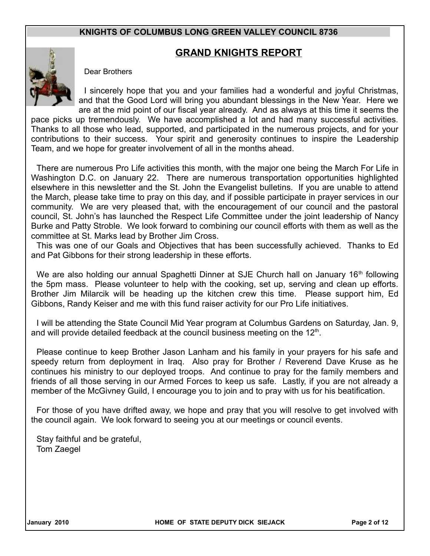# **GRAND KNIGHTS REPORT**



Dear Brothers

I sincerely hope that you and your families had a wonderful and joyful Christmas, and that the Good Lord will bring you abundant blessings in the New Year. Here we are at the mid point of our fiscal year already. And as always at this time it seems the

pace picks up tremendously. We have accomplished a lot and had many successful activities. Thanks to all those who lead, supported, and participated in the numerous projects, and for your contributions to their success. Your spirit and generosity continues to inspire the Leadership Team, and we hope for greater involvement of all in the months ahead.

There are numerous Pro Life activities this month, with the major one being the March For Life in Washington D.C. on January 22. There are numerous transportation opportunities highlighted elsewhere in this newsletter and the St. John the Evangelist bulletins. If you are unable to attend the March, please take time to pray on this day, and if possible participate in prayer services in our community. We are very pleased that, with the encouragement of our council and the pastoral council, St. John's has launched the Respect Life Committee under the joint leadership of Nancy Burke and Patty Stroble. We look forward to combining our council efforts with them as well as the committee at St. Marks lead by Brother Jim Cross.

This was one of our Goals and Objectives that has been successfully achieved. Thanks to Ed and Pat Gibbons for their strong leadership in these efforts.

We are also holding our annual Spaghetti Dinner at SJE Church hall on January 16<sup>th</sup> following the 5pm mass. Please volunteer to help with the cooking, set up, serving and clean up efforts. Brother Jim Milarcik will be heading up the kitchen crew this time. Please support him, Ed Gibbons, Randy Keiser and me with this fund raiser activity for our Pro Life initiatives.

I will be attending the State Council Mid Year program at Columbus Gardens on Saturday, Jan. 9, and will provide detailed feedback at the council business meeting on the  $12<sup>th</sup>$ .

Please continue to keep Brother Jason Lanham and his family in your prayers for his safe and speedy return from deployment in Iraq. Also pray for Brother / Reverend Dave Kruse as he continues his ministry to our deployed troops. And continue to pray for the family members and friends of all those serving in our Armed Forces to keep us safe. Lastly, if you are not already a member of the McGivney Guild, I encourage you to join and to pray with us for his beatification.

For those of you have drifted away, we hope and pray that you will resolve to get involved with the council again. We look forward to seeing you at our meetings or council events.

Stay faithful and be grateful, Tom Zaegel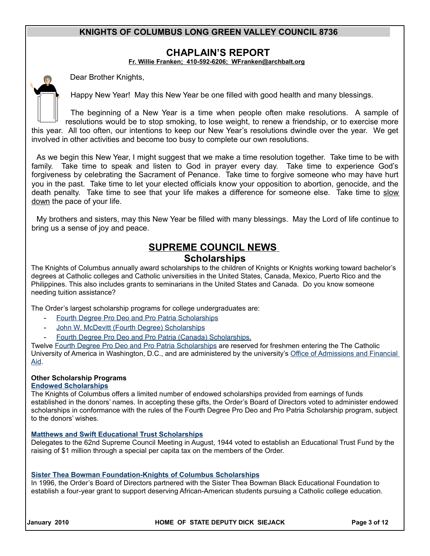### **CHAPLAIN'S REPORT**

**Fr. Willie Franken; 410-592-6206; [WFranken@archbalt.org](mailto:WFranken@archbalt.org)**

Dear Brother Knights,

Happy New Year! May this New Year be one filled with good health and many blessings.

The beginning of a New Year is a time when people often make resolutions. A sample of resolutions would be to stop smoking, to lose weight, to renew a friendship, or to exercise more this year. All too often, our intentions to keep our New Year's resolutions dwindle over the year. We get involved in other activities and become too busy to complete our own resolutions.

As we begin this New Year, I might suggest that we make a time resolution together. Take time to be with family. Take time to speak and listen to God in prayer every day. Take time to experience God's forgiveness by celebrating the Sacrament of Penance. Take time to forgive someone who may have hurt you in the past. Take time to let your elected officials know your opposition to abortion, genocide, and the death penalty. Take time to see that your life makes a difference for someone else. Take time to slow down the pace of your life.

My brothers and sisters, may this New Year be filled with many blessings. May the Lord of life continue to bring us a sense of joy and peace.

# **SUPREME COUNCIL NEWS Scholarships**

The Knights of Columbus annually award scholarships to the children of Knights or Knights working toward bachelor's degrees at Catholic colleges and Catholic universities in the United States, Canada, Mexico, Puerto Rico and the Philippines. This also includes grants to seminarians in the United States and Canada. Do you know someone needing tuition assistance?

The Order's largest scholarship programs for college undergraduates are:

- Fourth Degree Pro Deo and Pro Patria Scholarships
- [John W. McDevitt \(Fourth Degree\) Scholarships](http://www.kofc.org/un/eb/en/members/scholarships/mcdevitt.html)
- [Fourth Degree Pro Deo and Pro Patria \(Canada\) Scholarships.](http://www.kofc.org/un/eb/en/members/scholarships/prodeo_canada.html)

Twelve [Fourth Degree Pro Deo and Pro Patria Scholarships](http://www.kofc.org/un/eb/en/members/scholarships/prodeo_us.html) are reserved for freshmen entering the The Catholic University of America in Washington, D.C., and are administered by the university's [Office of Admissions and Financial](http://financialaid.cua.edu/) [Aid.](http://financialaid.cua.edu/)

#### **Other Scholarship Programs**

#### **[Endowed Scholarships](http://www.kofc.org/un/eb/en/members/scholarships/endowed.html)**

The Knights of Columbus offers a limited number of endowed scholarships provided from earnings of funds established in the donors' names. In accepting these gifts, the Order's Board of Directors voted to administer endowed scholarships in conformance with the rules of the Fourth Degree Pro Deo and Pro Patria Scholarship program, subject to the donors' wishes.

#### **[Matthews and Swift Educational Trust Scholarships](http://www.kofc.org/un/eb/en/members/scholarships/matthews_swift.html)**

Delegates to the 62nd Supreme Council Meeting in August, 1944 voted to establish an Educational Trust Fund by the raising of \$1 million through a special per capita tax on the members of the Order.

#### **[Sister Thea Bowman Foundation-Knights of Columbus Scholarships](http://www.kofc.org/un/eb/en/members/scholarships/bowman.html)**

In 1996, the Order's Board of Directors partnered with the Sister Thea Bowman Black Educational Foundation to establish a four-year grant to support deserving African-American students pursuing a Catholic college education.

**January 2010 HOME OF STATE DEPUTY DICK SIEJACK Page 3 of 12**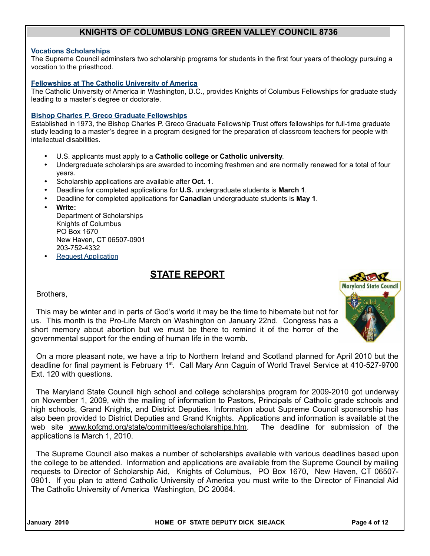#### **[Vocations Scholarships](http://www.kofc.org/un/eb/en/members/scholarships/vocations.html)**

The Supreme Council adminsters two scholarship programs for students in the first four years of theology pursuing a vocation to the priesthood.

#### **[Fellowships at The Catholic University of America](http://www.kofc.org/un/eb/en/members/scholarships/catholic_u.html)**

The Catholic University of America in Washington, D.C., provides Knights of Columbus Fellowships for graduate study leading to a master's degree or doctorate.

#### **[Bishop Charles P. Greco Graduate Fellowships](http://www.kofc.org/un/eb/en/members/scholarships/greco.html)**

Established in 1973, the Bishop Charles P. Greco Graduate Fellowship Trust offers fellowships for full-time graduate study leading to a master's degree in a program designed for the preparation of classroom teachers for people with intellectual disabilities.

- U.S. applicants must apply to a **Catholic college or Catholic university**.
- Undergraduate scholarships are awarded to incoming freshmen and are normally renewed for a total of four years.
- Scholarship applications are available after **Oct. 1**.
- Deadline for completed applications for **U.S.** undergraduate students is **March 1**.
- Deadline for completed applications for **Canadian** undergraduate students is **May 1**.
- **Write:**

Department of Scholarships Knights of Columbus PO Box 1670 New Haven, CT 06507-0901 203-752-4332

**Request Application** 

# **STATE REPORT**

Brothers,

This may be winter and in parts of God's world it may be the time to hibernate but not for us. This month is the Pro-Life March on Washington on January 22nd. Congress has a short memory about abortion but we must be there to remind it of the horror of the governmental support for the ending of human life in the womb.

On a more pleasant note, we have a trip to Northern Ireland and Scotland planned for April 2010 but the deadline for final payment is February 1<sup>st</sup>. Call Mary Ann Caguin of World Travel Service at 410-527-9700 Ext. 120 with questions.

The Maryland State Council high school and college scholarships program for 2009-2010 got underway on November 1, 2009, with the mailing of information to Pastors, Principals of Catholic grade schools and high schools, Grand Knights, and District Deputies. Information about Supreme Council sponsorship has also been provided to District Deputies and Grand Knights. Applications and information is available at the web site www.kofcmd.org/state/committees/scholarships.htm. The deadline for submission of the applications is March 1, 2010.

The Supreme Council also makes a number of scholarships available with various deadlines based upon the college to be attended. Information and applications are available from the Supreme Council by mailing requests to Director of Scholarship Aid, Knights of Columbus, PO Box 1670, New Haven, CT 06507- 0901. If you plan to attend Catholic University of America you must write to the Director of Financial Aid The Catholic University of America Washington, DC 20064.



January 2010 **Formular State Communist Communist Communist Communist Communist Communist Communist Communist Communist Communist Page 4 of 12**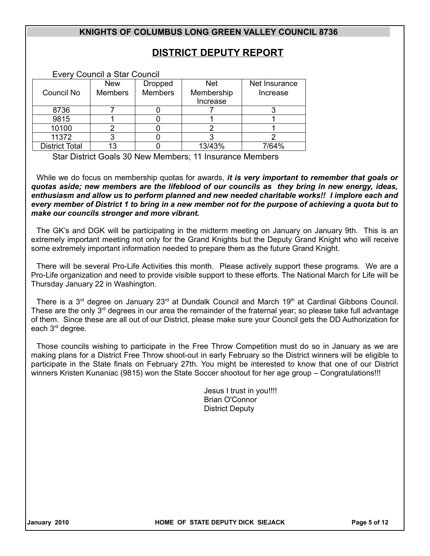# **DISTRICT DEPUTY REPORT**

Every Council a Star Council

|                       | <b>New</b>     | Dropped        | <b>Net</b> | Net Insurance |
|-----------------------|----------------|----------------|------------|---------------|
| Council No            | <b>Members</b> | <b>Members</b> | Membership | Increase      |
|                       |                |                | Increase   |               |
| 8736                  |                |                |            |               |
| 9815                  |                |                |            |               |
| 10100                 |                |                |            |               |
| 11372                 |                |                |            |               |
| <b>District Total</b> | 13             |                | 13/43%     | 7/64%         |

Star District Goals 30 New Members; 11 Insurance Members

While we do focus on membership quotas for awards, *it is very important to remember that goals or quotas aside; new members are the lifeblood of our councils as they bring in new energy, ideas, enthusiasm and allow us to perform planned and new needed charitable works!! I implore each and every member of District 1 to bring in a new member not for the purpose of achieving a quota but to make our councils stronger and more vibrant.*

The GK's and DGK will be participating in the midterm meeting on January on January 9th. This is an extremely important meeting not only for the Grand Knights but the Deputy Grand Knight who will receive some extremely important information needed to prepare them as the future Grand Knight.

There will be several Pro-Life Activities this month. Please actively support these programs. We are a Pro-Life organization and need to provide visible support to these efforts. The National March for Life will be Thursday January 22 in Washington.

There is a 3<sup>rd</sup> degree on January 23<sup>rd</sup> at Dundalk Council and March 19<sup>th</sup> at Cardinal Gibbons Council. These are the only  $3<sup>rd</sup>$  degrees in our area the remainder of the fraternal year; so please take full advantage of them. Since these are all out of our District, please make sure your Council gets the DD Authorization for each 3rd degree.

Those councils wishing to participate in the Free Throw Competition must do so in January as we are making plans for a District Free Throw shoot-out in early February so the District winners will be eligible to participate in the State finals on February 27th. You might be interested to know that one of our District winners Kristen Kunaniac (9815) won the State Soccer shootout for her age group – Congratulations!!!

> Jesus I trust in you!!!! Brian O'Connor District Deputy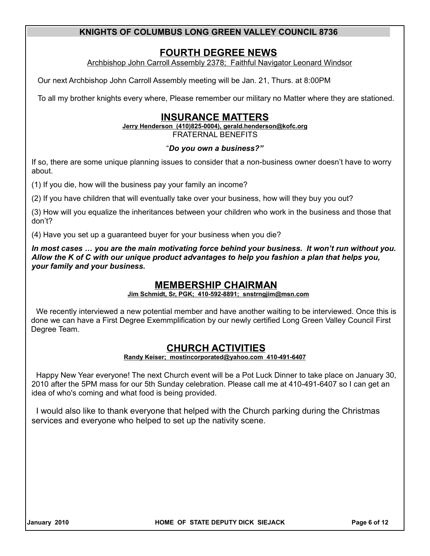# **FOURTH DEGREE NEWS**

Archbishop John Carroll Assembly 2378; Faithful Navigator Leonard Windsor

Our next Archbishop John Carroll Assembly meeting will be Jan. 21, Thurs. at 8:00PM

To all my brother knights every where, Please remember our military no Matter where they are stationed.

# **INSURANCE MATTERS**

 **Jerry Henderson (410)825-0004), gerald.henderson@kofc.org**

FRATERNAL BENEFITS

### "*Do you own a business?"*

If so, there are some unique planning issues to consider that a non-business owner doesn't have to worry about.

(1) If you die, how will the business pay your family an income?

(2) If you have children that will eventually take over your business, how will they buy you out?

(3) How will you equalize the inheritances between your children who work in the business and those that don't?

(4) Have you set up a guaranteed buyer for your business when you die?

*In most cases … you are the main motivating force behind your business. It won't run without you. Allow the K of C with our unique product advantages to help you fashion a plan that helps you, your family and your business.*

## **MEMBERSHIP CHAIRMAN**

#### **Jim Schmidt, Sr, PGK; 410-592-8891; snstrngjim@msn.com**

We recently interviewed a new potential member and have another waiting to be interviewed. Once this is done we can have a First Degree Exemmplification by our newly certified Long Green Valley Council First Degree Team.

## **CHURCH ACTIVITIES**

#### **Randy Keiser; [mostincorporated@yahoo.com](mailto:mostincorporated@yahoo.com) 410-491-6407**

Happy New Year everyone! The next Church event will be a Pot Luck Dinner to take place on January 30, 2010 after the 5PM mass for our 5th Sunday celebration. Please call me at 410-491-6407 so I can get an idea of who's coming and what food is being provided.

I would also like to thank everyone that helped with the Church parking during the Christmas services and everyone who helped to set up the nativity scene.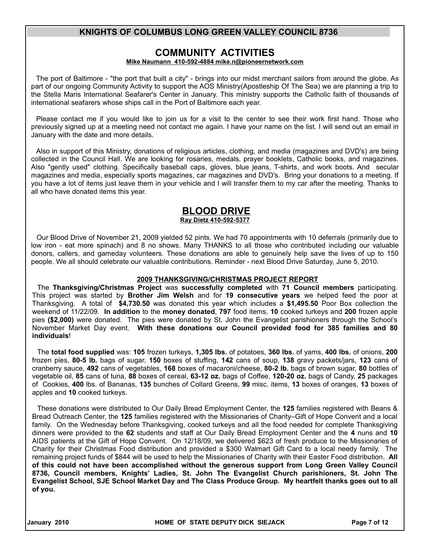## **COMMUNITY ACTIVITIES**

#### **Mike Naumann 410-592-4884 mike.n@pioneernetwork.com**

The port of Baltimore - "the port that built a city" - brings into our midst merchant sailors from around the globe. As part of our ongoing Community Activity to support the AOS Ministry(Apostleship Of The Sea) we are planning a trip to the Stella Maris International Seafarer's Center in January. This ministry supports the Catholic faith of thousands of international seafarers whose ships call in the Port of Baltimore each year.

Please contact me if you would like to join us for a visit to the center to see their work first hand. Those who previously signed up at a meeting need not contact me again. I have your name on the list. I will send out an email in January with the date and more details.

Also in support of this Ministry, donations of religious articles, clothing, and media (magazines and DVD's) are being collected in the Council Hall. We are looking for rosaries, medals, prayer booklets, Catholic books, and magazines. Also "gently used" clothing. Specifically baseball caps, gloves, blue jeans, T-shirts, and work boots. And secular magazines and media, especially sports magazines, car magazines and DVD's. Bring your donations to a meeting. If you have a lot of items just leave them in your vehicle and I will transfer them to my car after the meeting. Thanks to all who have donated items this year.

# **BLOOD DRIVE**

#### **Ray Dietz 410-592-5377**

Our Blood Drive of November 21, 2009 yielded 52 pints. We had 70 appointments with 10 deferrals (primarily due to low iron - eat more spinach) and 8 no shows. Many THANKS to all those who contributed including our valuable donors, callers, and gameday volunteers. These donations are able to genuinely help save the lives of up to 150 people. We all should celebrate our valuable contributions. Reminder - next Blood Drive Saturday, June 5, 2010.

#### **2009 THANKSGIVING/CHRISTMAS PROJECT REPORT**

The **Thanksgiving/Christmas Project** was **successfully completed** with **71 Council members** participating. This project was started by **Brother Jim Welsh** and for **19 consecutive years** we helped feed the poor at Thanksgiving. A total of **\$4,730.50** was donated this year which includes a **\$1,495.50** Poor Box collection the weekend of 11/22/09. **In addition** to the **money donated**, **797** food items, **10** cooked turkeys and **200** frozen apple pies **(\$2,000)** were donated. The pies were donated by St. John the Evangelist parishioners through the School's November Market Day event. **With these donations our Council provided food for 385 families and 80 individuals**!

The **total food supplied** was: **105** frozen turkeys, **1,305 lbs.** of potatoes, **360 lbs.** of yams, **400 lbs.** of onions, **200** frozen pies, **80-5 lb.** bags of sugar, **150** boxes of stuffing, **142** cans of soup, **138** gravy packets/jars, **123** cans of cranberry sauce, **492** cans of vegetables, **168** boxes of macaroni/cheese, **80-2 lb.** bags of brown sugar, **80** bottles of vegetable oil, **85** cans of tuna, **88** boxes of cereal, **63-12 oz.** bags of Coffee, **120-20 oz.** bags of Candy, **25** packages of Cookies, **400** lbs. of Bananas, **135** bunches of Collard Greens, **99** misc. items, **13** boxes of oranges, **13** boxes of apples and **10** cooked turkeys.

These donations were distributed to Our Daily Bread Employment Center, the **125** families registered with Beans & Bread Outreach Center, the **125** families registered with the Missionaries of Charity–Gift of Hope Convent and a local family. On the Wednesday before Thanksgiving, cooked turkeys and all the food needed for complete Thanksgiving dinners were provided to the **62** students and staff at Our Daily Bread Employment Center and the **4** nuns and **10** AIDS patients at the Gift of Hope Convent. On 12/18/09, we delivered \$623 of fresh produce to the Missionaries of Charity for their Christmas Food distribution and provided a \$300 Walmart Gift Card to a local needy family. The remaining project funds of \$844 will be used to help the Missionaries of Charity with their Easter Food distribution. **All of this could not have been accomplished without the generous support from Long Green Valley Council 8736, Council members, Knights' Ladies, St. John The Evangelist Church parishioners, St. John The Evangelist School, SJE School Market Day and The Class Produce Group. My heartfelt thanks goes out to all of you.** 

January 2010 **Formular State Communist Communist Communist Communist Communist Communist Communist Communist Communist Communist Page 7 of 12**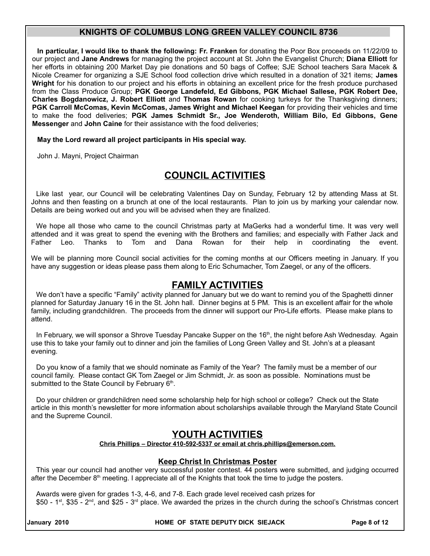**In particular, I would like to thank the following: Fr. Franken** for donating the Poor Box proceeds on 11/22/09 to our project and **Jane Andrews** for managing the project account at St. John the Evangelist Church; **Diana Elliott** for her efforts in obtaining 200 Market Day pie donations and 50 bags of Coffee; SJE School teachers Sara Macek & Nicole Creamer for organizing a SJE School food collection drive which resulted in a donation of 321 items; **James Wright** for his donation to our project and his efforts in obtaining an excellent price for the fresh produce purchased from the Class Produce Group; **PGK George Landefeld, Ed Gibbons, PGK Michael Sallese, PGK Robert Dee, Charles Bogdanowicz, J. Robert Elliott** and **Thomas Rowan** for cooking turkeys for the Thanksgiving dinners; **PGK Carroll McComas, Kevin McComas, James Wright and Michael Keegan** for providing their vehicles and time to make the food deliveries; **PGK James Schmidt Sr., Joe Wenderoth, William Bilo, Ed Gibbons, Gene Messenger and John Caine for their assistance with the food deliveries;** 

**May the Lord reward all project participants in His special way.** 

John J. Mayni, Project Chairman

# **COUNCIL ACTIVITIES**

Like last year, our Council will be celebrating Valentines Day on Sunday, February 12 by attending Mass at St. Johns and then feasting on a brunch at one of the local restaurants. Plan to join us by marking your calendar now. Details are being worked out and you will be advised when they are finalized.

We hope all those who came to the council Christmas party at MaGerks had a wonderful time. It was very well attended and it was great to spend the evening with the Brothers and families; and especially with Father Jack and Father Leo. Thanks to Tom and Dana Rowan for their help in coordinating the event.

We will be planning more Council social activities for the coming months at our Officers meeting in January. If you have any suggestion or ideas please pass them along to Eric Schumacher, Tom Zaegel, or any of the officers.

## **FAMILY ACTIVITIES**

We don't have a specific "Family" activity planned for January but we do want to remind you of the Spaghetti dinner planned for Saturday January 16 in the St. John hall. Dinner begins at 5 PM. This is an excellent affair for the whole family, including grandchildren. The proceeds from the dinner will support our Pro-Life efforts. Please make plans to attend.

In February, we will sponsor a Shrove Tuesday Pancake Supper on the 16<sup>th</sup>, the night before Ash Wednesday. Again use this to take your family out to dinner and join the families of Long Green Valley and St. John's at a pleasant evening.

Do you know of a family that we should nominate as Family of the Year? The family must be a member of our council family. Please contact GK Tom Zaegel or Jim Schmidt, Jr. as soon as possible. Nominations must be submitted to the State Council by February 6<sup>th</sup>.

Do your children or grandchildren need some scholarship help for high school or college? Check out the State article in this month's newsletter for more information about scholarships available through the Maryland State Council and the Supreme Council.

## **YOUTH ACTIVITIES**

#### **Chris Phillips – Director 410-592-5337 or email at chris.phillips@emerson.com.**

#### **Keep Christ In Christmas Poster**

This year our council had another very successful poster contest. 44 posters were submitted, and judging occurred after the December 8<sup>th</sup> meeting. I appreciate all of the Knights that took the time to judge the posters.

Awards were given for grades 1-3, 4-6, and 7-8. Each grade level received cash prizes for \$50 - 1<sup>st</sup>, \$35 - 2<sup>nd</sup>, and \$25 - 3<sup>rd</sup> place. We awarded the prizes in the church during the school's Christmas concert

**January 2010 HOME OF STATE DEPUTY DICK SIEJACK Page 8 of 12**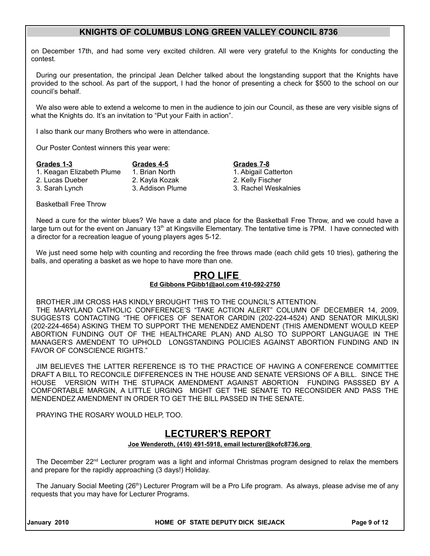on December 17th, and had some very excited children. All were very grateful to the Knights for conducting the contest.

During our presentation, the principal Jean Delcher talked about the longstanding support that the Knights have provided to the school. As part of the support, I had the honor of presenting a check for \$500 to the school on our council's behalf.

We also were able to extend a welcome to men in the audience to join our Council, as these are very visible signs of what the Knights do. It's an invitation to "Put your Faith in action".

I also thank our many Brothers who were in attendance.

Our Poster Contest winners this year were:

| Grades 1-3                | Grades 4-5       |
|---------------------------|------------------|
| 1. Keagan Elizabeth Plume | 1. Brian North   |
| 2. Lucas Dueber           | 2. Kayla Kozak   |
| 3. Sarah Lynch            | 3. Addison Plume |
|                           |                  |

**Grades 1-3 Grades 4-5 Grades 7-8** 1. Abigail Catterton 2. Kelly Fischer 3. Rachel Weskalnies

Basketball Free Throw

Need a cure for the winter blues? We have a date and place for the Basketball Free Throw, and we could have a large turn out for the event on January  $13<sup>th</sup>$  at Kingsville Elementary. The tentative time is 7PM. I have connected with a director for a recreation league of young players ages 5-12.

We just need some help with counting and recording the free throws made (each child gets 10 tries), gathering the balls, and operating a basket as we hope to have more than one.

## **PRO LIFE**

#### **Ed Gibbons PGibb1@aol.com 410-592-2750**

BROTHER JIM CROSS HAS KINDLY BROUGHT THIS TO THE COUNCIL'S ATTENTION.

THE MARYLAND CATHOLIC CONFERENCE'S "TAKE ACTION ALERT" COLUMN OF DECEMBER 14, 2009, SUGGESTS CONTACTING "THE OFFICES OF SENATOR CARDIN (202-224-4524) AND SENATOR MIKULSKI (202-224-4654) ASKING THEM TO SUPPORT THE MENENDEZ AMENDENT (THIS AMENDMENT WOULD KEEP ABORTION FUNDING OUT OF THE HEALTHCARE PLAN) AND ALSO TO SUPPORT LANGUAGE IN THE MANAGER'S AMENDENT TO UPHOLD LONGSTANDING POLICIES AGAINST ABORTION FUNDING AND IN FAVOR OF CONSCIENCE RIGHTS."

JIM BELIEVES THE LATTER REFERENCE IS TO THE PRACTICE OF HAVING A CONFERENCE COMMITTEE DRAFT A BILL TO RECONCILE DIFFERENCES IN THE HOUSE AND SENATE VERSIONS OF A BILL. SINCE THE HOUSE VERSION WITH THE STUPACK AMENDMENT AGAINST ABORTION FUNDING PASSSED BY A COMFORTABLE MARGIN, A LITTLE URGING MIGHT GET THE SENATE TO RECONSIDER AND PASS THE MENDENDEZ AMENDMENT IN ORDER TO GET THE BILL PASSED IN THE SENATE.

PRAYING THE ROSARY WOULD HELP, TOO.

## **LECTURER'S REPORT**

#### **Joe Wenderoth, (410) 491-5918, email lecturer@kofc8736.org**

The December 22<sup>nd</sup> Lecturer program was a light and informal Christmas program designed to relax the members and prepare for the rapidly approaching (3 days!) Holiday.

The January Social Meeting (26<sup>th</sup>) Lecturer Program will be a Pro Life program. As always, please advise me of any requests that you may have for Lecturer Programs.

**January 2010 HOME OF STATE DEPUTY DICK SIEJACK Page 9 of 12**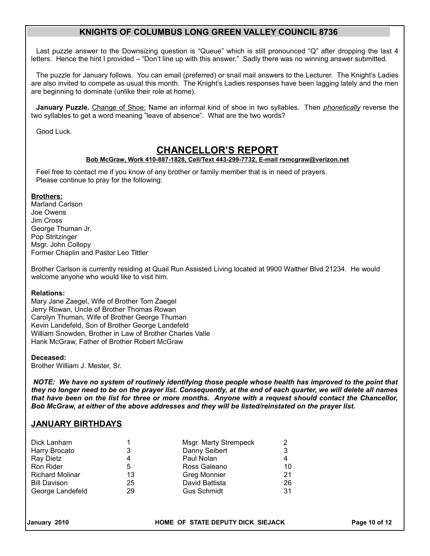Last puzzle answer to the Downsizing question is "Queue" which is still pronounced "Q" after dropping the last 4 letters. Hence the hint I provided – "Don't line up with this answer." Sadly there was no winning answer submitted.

The puzzle for January follows. You can email (preferred) or snail mail answers to the Lecturer. The Knight's Ladies are also invited to compete as usual this month. The Knight's Ladies responses have been lagging lately and the men are beginning to dominate (unlike their role at home).

**January Puzzle.** Change of Shoe: Name an informal kind of shoe in two syllables. Then *phonetically* reverse the two syllables to get a word meaning "leave of absence". What are the two words?

Good Luck.

## **CHANCELLOR'S REPORT**

#### **Bob McGraw, Work 410-887-1828, Cell/Text 443-299-7732, E-mail rsmcgraw@verizon.net**

Feel free to contact me if you know of any brother or family member that is in need of prayers. Please continue to pray for the following:

#### **Brothers:**

Marland Carlson Joe Owens Jim Cross George Thuman Jr. Pop Stritzinger Msgr. John Collopy Former Chaplin and Pastor Leo Tittler

Brother Carlson is currently residing at Quail Run Assisted Living located at 9900 Walther Blvd 21234. He would welcome anyone who would like to visit him.

#### **Relations:**

Mary Jane Zaegel, Wife of Brother Tom Zaegel Jerry Rowan, Uncle of Brother Thomas Rowan Carolyn Thuman, Wife of Brother George Thuman Kevin Landefeld, Son of Brother George Landefeld William Snowden, Brother in Law of Brother Charles Valle Hank McGraw, Father of Brother Robert McGraw

#### **Deceased:**

Brother William J. Mester, Sr.

*NOTE: We have no system of routinely identifying those people whose health has improved to the point that they no longer need to be on the prayer list. Consequently, at the end of each quarter, we will delete all names that have been on the list for three or more months. Anyone with a request should contact the Chancellor, Bob McGraw, at either of the above addresses and they will be listed/reinstated on the prayer list.*

### **JANUARY BIRTHDAYS**

|    | Msgr. Marty Strempeck |    |
|----|-----------------------|----|
| 3  | Danny Seibert         | 3  |
| 4  | Paul Nolan            |    |
| 5  | Ross Galeano          | 10 |
| 13 | <b>Greg Monnier</b>   | 21 |
| 25 | David Battista        | 26 |
| 29 | <b>Gus Schmidt</b>    | 31 |
|    |                       |    |

**January 2010 HOME OF STATE DEPUTY DICK SIEJACK Page 10 of 12**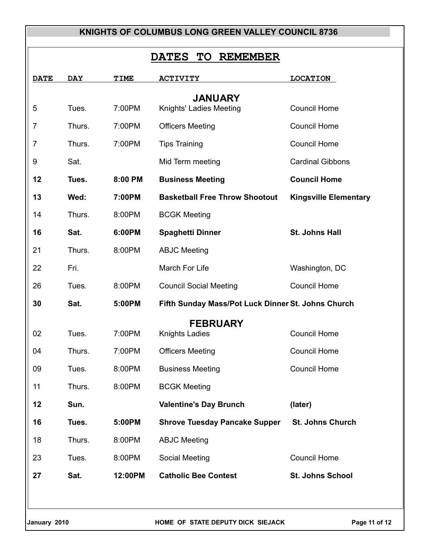# **DATES TO REMEMBER**

| <b>DATE</b>    | <b>DAY</b> | <b>TIME</b> | <b>ACTIVITY</b>                                    | <b>LOCATION</b>              |  |
|----------------|------------|-------------|----------------------------------------------------|------------------------------|--|
| <b>JANUARY</b> |            |             |                                                    |                              |  |
| 5              | Tues.      | 7:00PM      | Knights' Ladies Meeting                            | <b>Council Home</b>          |  |
| $\overline{7}$ | Thurs.     | 7:00PM      | <b>Officers Meeting</b>                            | <b>Council Home</b>          |  |
| 7              | Thurs.     | 7:00PM      | <b>Tips Training</b>                               | <b>Council Home</b>          |  |
| 9              | Sat.       |             | Mid Term meeting                                   | <b>Cardinal Gibbons</b>      |  |
| 12             | Tues.      | 8:00 PM     | <b>Business Meeting</b>                            | <b>Council Home</b>          |  |
| 13             | Wed:       | 7:00PM      | <b>Basketball Free Throw Shootout</b>              | <b>Kingsville Elementary</b> |  |
| 14             | Thurs.     | 8:00PM      | <b>BCGK Meeting</b>                                |                              |  |
| 16             | Sat.       | 6:00PM      | <b>Spaghetti Dinner</b>                            | St. Johns Hall               |  |
| 21             | Thurs.     | 8:00PM      | <b>ABJC Meeting</b>                                |                              |  |
| 22             | Fri.       |             | March For Life                                     | Washington, DC               |  |
| 26             | Tues.      | 8:00PM      | <b>Council Social Meeting</b>                      | <b>Council Home</b>          |  |
| 30             | Sat.       | 5:00PM      | Fifth Sunday Mass/Pot Luck Dinner St. Johns Church |                              |  |
|                |            |             | <b>FEBRUARY</b>                                    |                              |  |
| 02             | Tues.      | 7:00PM      | <b>Knights Ladies</b>                              | <b>Council Home</b>          |  |
| 04             | Thurs.     | 7:00PM      | <b>Officers Meeting</b>                            | <b>Council Home</b>          |  |
| 09             | Tues.      | 8:00PM      | <b>Business Meeting</b>                            | <b>Council Home</b>          |  |
| 11             | Thurs.     | 8:00PM      | <b>BCGK Meeting</b>                                |                              |  |
| 12             | Sun.       |             | <b>Valentine's Day Brunch</b>                      | (later)                      |  |
| 16             | Tues.      | 5:00PM      | <b>Shrove Tuesday Pancake Supper</b>               | <b>St. Johns Church</b>      |  |
| 18             | Thurs.     | 8:00PM      | <b>ABJC Meeting</b>                                |                              |  |
| 23             | Tues.      | 8:00PM      | Social Meeting                                     | <b>Council Home</b>          |  |
| 27             | Sat.       | 12:00PM     | <b>Catholic Bee Contest</b>                        | <b>St. Johns School</b>      |  |
|                |            |             |                                                    |                              |  |
|                |            |             |                                                    |                              |  |
| January 2010   |            |             | HOME OF STATE DEPUTY DICK SIEJACK                  | Page 11 of 12                |  |